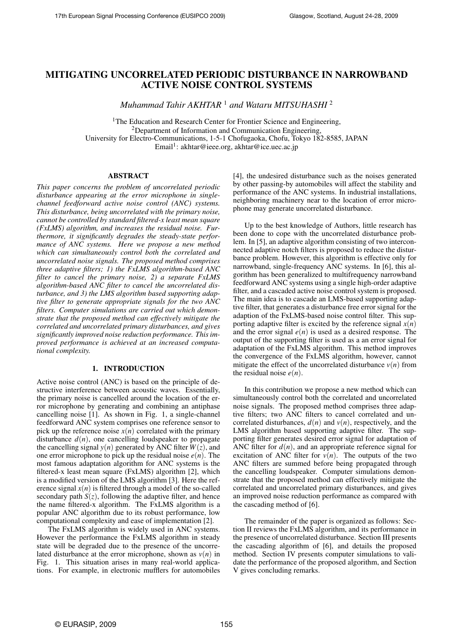# MITIGATING UNCORRELATED PERIODIC DISTURBANCE IN NARROWBAND ACTIVE NOISE CONTROL SYSTEMS

*Muhammad Tahir AKHTAR* <sup>1</sup> *and Wataru MITSUHASHI* <sup>2</sup>

<sup>1</sup>The Education and Research Center for Frontier Science and Engineering, <sup>2</sup>Department of Information and Communication Engineering. University for Electro-Communications, 1-5-1 Chofugaoka, Chofu, Tokyo 182-8585, JAPAN Email<sup>1</sup>: akhtar@ieee.org, akhtar@ice.uec.ac.jp

#### ABSTRACT

*This paper concerns the problem of uncorrelated periodic disturbance appearing at the error microphone in singlechannel feedforward active noise control (ANC) systems. This disturbance, being uncorrelated with the primary noise, cannot be controlled by standard filtered-x least mean square (FxLMS) algorithm, and increases the residual noise. Furthermore, it significantly degrades the steady-state performance of ANC systems. Here we propose a new method which can simultaneously control both the correlated and uncorrelated noise signals. The proposed method comprises three adaptive filters; 1) the FxLMS algorithm-based ANC filter to cancel the primary noise, 2) a separate FxLMS algorithm-based ANC filter to cancel the uncorrelated disturbance, and 3) the LMS algorithm based supporting adaptive filter to generate appropriate signals for the two ANC filters. Computer simulations are carried out which demonstrate that the proposed method can effectively mitigate the correlated and uncorrelated primary disturbances, and gives significantly improved noise reduction performance. This improved performance is achieved at an increased computational complexity.*

## 1. INTRODUCTION

Active noise control (ANC) is based on the principle of destructive interference between acoustic waves. Essentially, the primary noise is cancelled around the location of the error microphone by generating and combining an antiphase cancelling noise [1]. As shown in Fig. 1, a single-channel feedforward ANC system comprises one reference sensor to pick up the reference noise  $x(n)$  correlated with the primary disturbance  $d(n)$ , one cancelling loudspeaker to propagate the cancelling signal  $y(n)$  generated by ANC filter  $W(z)$ , and one error microphone to pick up the residual noise  $e(n)$ . The most famous adaptation algorithm for ANC systems is the filtered-x least mean square (FxLMS) algorithm [2], which is a modified version of the LMS algorithm [3]. Here the reference signal  $x(n)$  is filtered through a model of the so-called secondary path  $S(z)$ , following the adaptive filter, and hence the name filtered-x algorithm. The FxLMS algorithm is a popular ANC algorithm due to its robust performance, low computational complexity and ease of implementation [2].

The FxLMS algorithm is widely used in ANC systems. However the performance the FxLMS algorithm in steady state will be degraded due to the presence of the uncorrelated disturbance at the error microphone, shown as  $v(n)$  in Fig. 1. This situation arises in many real-world applications. For example, in electronic mufflers for automobiles [4], the undesired disturbance such as the noises generated by other passing-by automobiles will affect the stability and performance of the ANC systems. In industrial installations, neighboring machinery near to the location of error microphone may generate uncorrelated disturbance.

Up to the best knowledge of Authors, little research has been done to cope with the uncorrelated disturbance problem. In [5], an adaptive algorithm consisting of two interconnected adaptive notch filters is proposed to reduce the disturbance problem. However, this algorithm is effective only for narrowband, single-frequency ANC systems. In [6], this algorithm has been generalized to multifrequency narrowband feedforward ANC systems using a single high-order adaptive filter, and a cascaded active noise control system is proposed. The main idea is to cascade an LMS-based supporting adaptive filter, that generates a disturbance free error signal for the adaption of the FxLMS-based noise control filter. This supporting adaptive filter is excited by the reference signal  $x(n)$ and the error signal  $e(n)$  is used as a desired response. The output of the supporting filter is used as a an error signal for adaptation of the FxLMS algorithm. This method improves the convergence of the FxLMS algorithm, however, cannot mitigate the effect of the uncorrelated disturbance  $v(n)$  from the residual noise  $e(n)$ .

In this contribution we propose a new method which can simultaneously control both the correlated and uncorrelated noise signals. The proposed method comprises three adaptive filters; two ANC filters to cancel correlated and uncorrelated disturbances,  $d(n)$  and  $v(n)$ , respectively, and the LMS algorithm based supporting adaptive filter. The supporting filter generates desired error signal for adaptation of ANC filter for  $d(n)$ , and an appropriate reference signal for excitation of ANC filter for  $v(n)$ . The outputs of the two ANC filters are summed before being propagated through the cancelling loudspeaker. Computer simulations demonstrate that the proposed method can effectively mitigate the correlated and uncorrelated primary disturbances, and gives an improved noise reduction performance as compared with the cascading method of [6].

The remainder of the paper is organized as follows: Section II reviews the FxLMS algorithm, and its performance in the presence of uncorrelated disturbance. Section III presents the cascading algorithm of [6], and details the proposed method. Section IV presents computer simulations to validate the performance of the proposed algorithm, and Section V gives concluding remarks.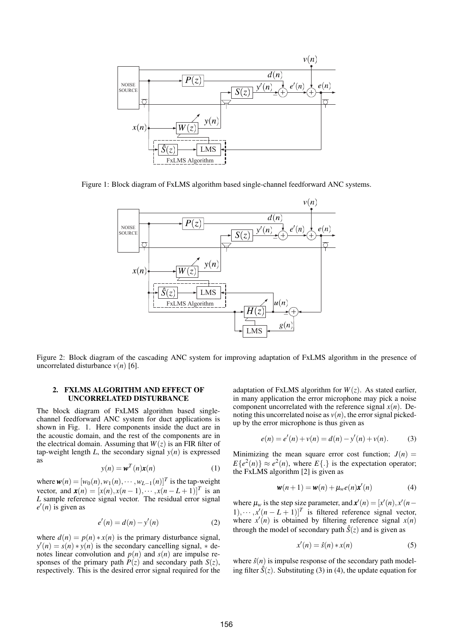

Figure 1: Block diagram of FxLMS algorithm based single-channel feedforward ANC systems.



Figure 2: Block diagram of the cascading ANC system for improving adaptation of FxLMS algorithm in the presence of uncorrelated disturbance  $v(n)$  [6].

### 2. FXLMS ALGORITHM AND EFFECT OF UNCORRELATED DISTURBANCE

The block diagram of FxLMS algorithm based singlechannel feedforward ANC system for duct applications is shown in Fig. 1. Here components inside the duct are in the acoustic domain, and the rest of the components are in the electrical domain. Assuming that  $W(z)$  is an FIR filter of tap-weight length  $L$ , the secondary signal  $y(n)$  is expressed as

$$
y(n) = \mathbf{w}^T(n)\mathbf{x}(n) \tag{1}
$$

where  $\mathbf{w}(n)=[w_0(n),w_1(n),\cdots,w_{L-1}(n)]^T$  is the tap-weight vector, and  $\mathbf{x}(n) = [x(n), x(n-1), \cdots, x(n-L+1)]^T$  is an *L* sample reference signal vector. The residual error signal  $e'(n)$  is given as

$$
e'(n) = d(n) - y'(n) \tag{2}
$$

where  $d(n) = p(n) * x(n)$  is the primary disturbance signal,  $y'(n) = s(n) * y(n)$  is the secondary cancelling signal,  $*$  denotes linear convolution and  $p(n)$  and  $s(n)$  are impulse responses of the primary path  $\hat{P}(z)$  and secondary path  $S(z)$ , respectively. This is the desired error signal required for the adaptation of FxLMS algorithm for  $W(z)$ . As stated earlier, in many application the error microphone may pick a noise component uncorrelated with the reference signal *x*(*n*). Denoting this uncorrelated noise as  $v(n)$ , the error signal pickedup by the error microphone is thus given as

$$
e(n) = e'(n) + v(n) = d(n) - y'(n) + v(n).
$$
 (3)

Minimizing the mean square error cost function;  $J(n)$  =  $E{e^{2}(n)} \approx e^{2}(n)$ , where  $E{.}$  is the expectation operator; the FxLMS algorithm [2] is given as

$$
\mathbf{w}(n+1) = \mathbf{w}(n) + \mu_w e(n) \mathbf{x}'(n) \tag{4}
$$

where  $\mu_w$  is the step size parameter, and  $\mathbf{x}'(n) = [x'(n), x'(n)]$ 1),  $\cdots$ ,  $x'(n - L + 1)$ <sup>T</sup> is filtered reference signal vector, where  $x'(n)$  is obtained by filtering reference signal  $x(n)$ through the model of secondary path  $\hat{S}(z)$  and is given as

$$
x'(n) = \hat{s}(n) * x(n) \tag{5}
$$

where  $\hat{s}(n)$  is impulse response of the secondary path modeling filter  $\hat{S}(z)$ . Substituting (3) in (4), the update equation for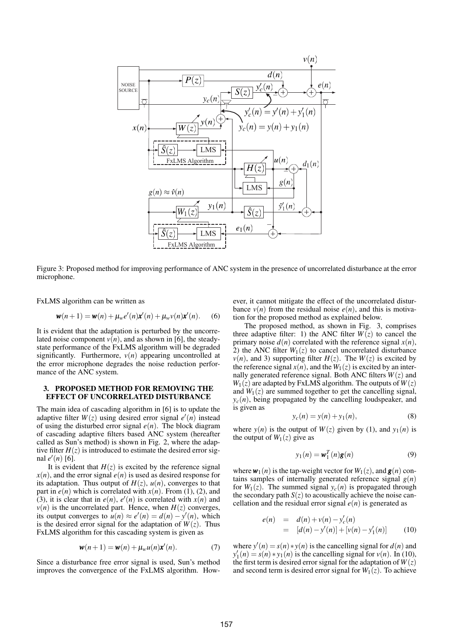

Figure 3: Proposed method for improving performance of ANC system in the presence of uncorrelated disturbance at the error microphone.

FxLMS algorithm can be written as

$$
\mathbf{w}(n+1) = \mathbf{w}(n) + \mu_w e'(n)\mathbf{x}'(n) + \mu_w v(n)\mathbf{x}'(n).
$$
 (6)

It is evident that the adaptation is perturbed by the uncorrelated noise component  $v(n)$ , and as shown in [6], the steadystate performance of the FxLMS algorithm will be degraded significantly. Furthermore,  $v(n)$  appearing uncontrolled at the error microphone degrades the noise reduction performance of the ANC system.

### 3. PROPOSED METHOD FOR REMOVING THE EFFECT OF UNCORRELATED DISTURBANCE

The main idea of cascading algorithm in [6] is to update the adaptive filter  $W(z)$  using desired error signal  $e'(n)$  instead of using the disturbed error signal  $e(n)$ . The block diagram of cascading adaptive filters based ANC system (hereafter called as Sun's method) is shown in Fig. 2, where the adaptive filter  $H(z)$  is introduced to estimate the desired error sig- $\text{nal } e'(n)$  [6].

It is evident that  $H(z)$  is excited by the reference signal  $x(n)$ , and the error signal  $e(n)$  is used as desired response for its adaptation. Thus output of  $H(z)$ ,  $u(n)$ , converges to that part in  $e(n)$  which is correlated with  $x(n)$ . From (1), (2), and (3), it is clear that in  $e(n)$ ,  $e'(n)$  is correlated with  $x(n)$  and  $v(n)$  is the uncorrelated part. Hence, when  $H(z)$  converges, its output converges to  $u(n) \approx e'(n) = d(n) - y'(n)$ , which is the desired error signal for the adaptation of  $W(z)$ . Thus FxLMS algorithm for this cascading system is given as

$$
\mathbf{w}(n+1) = \mathbf{w}(n) + \mu_w u(n) \mathbf{x}'(n). \tag{7}
$$

Since a disturbance free error signal is used, Sun's method improves the convergence of the FxLMS algorithm. However, it cannot mitigate the effect of the uncorrelated disturbance  $v(n)$  from the residual noise  $e(n)$ , and this is motivation for the proposed method as explained below.

The proposed method, as shown in Fig. 3, comprises three adaptive filter: 1) the ANC filter  $W(z)$  to cancel the primary noise  $d(n)$  correlated with the reference signal  $x(n)$ , 2) the ANC filter  $W_1(z)$  to cancel uncorrelated disturbance  $v(n)$ , and 3) supporting filter  $H(z)$ . The  $W(z)$  is excited by the reference signal  $x(n)$ , and the  $W_1(z)$  is excited by an internally generated reference signal. Both ANC filters  $W(z)$  and  $W_1(z)$  are adapted by FxLMS algorithm. The outputs of  $W(z)$ and  $W_1(z)$  are summed together to get the cancelling signal,  $y_c(n)$ , being propagated by the cancelling loudspeaker, and is given as

$$
y_c(n) = y(n) + y_1(n),
$$
 (8)

where  $y(n)$  is the output of  $W(z)$  given by (1), and  $y_1(n)$  is the output of  $W_1(z)$  give as

$$
y_1(n) = \mathbf{w}_1^T(n)\mathbf{g}(n) \tag{9}
$$

where  $w_1(n)$  is the tap-weight vector for  $W_1(z)$ , and  $g(n)$  contains samples of internally generated reference signal *g*(*n*) for  $W_1(z)$ . The summed signal  $y_c(n)$  is propagated through the secondary path  $S(z)$  to acoustically achieve the noise cancellation and the residual error signal  $e(n)$  is generated as

$$
e(n) = d(n) + v(n) - y'_c(n)
$$
  
= [d(n) - y'(n)] + [v(n) - y'\_1(n)] (10)

where  $y'(n) = s(n) * y(n)$  is the cancelling signal for  $d(n)$  and  $y'_1(n) = s(n) * y_1(n)$  is the cancelling signal for *v*(*n*). In (10), the first term is desired error signal for the adaptation of  $W(z)$ and second term is desired error signal for  $W_1(z)$ . To achieve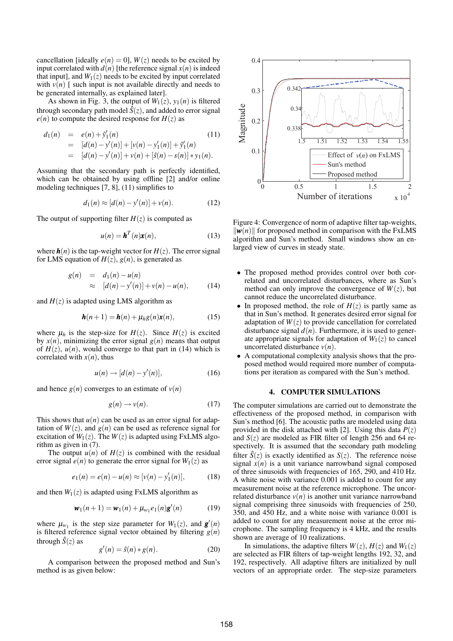cancellation [ideally  $e(n) = 0$ ],  $W(z)$  needs to be excited by input correlated with  $d(n)$  [the reference signal  $x(n)$  is indeed that input], and  $W_1(z)$  needs to be excited by input correlated with  $v(n)$  [ such input is not available directly and needs to be generated internally, as explained later].

As shown in Fig. 3, the output of  $W_1(z)$ ,  $y_1(n)$  is filtered through secondary path model  $\hat{S}(z)$ , and added to error signal  $e(n)$  to compute the desired response for  $H(z)$  as

$$
d_1(n) = e(n) + \hat{y}'_1(n)
$$
(11)  
=  $[d(n) - y'(n)] + [v(n) - y'_1(n)] + \hat{y}'_1(n)$   
=  $[d(n) - y'(n)] + v(n) + [\hat{s}(n) - s(n)] * y_1(n)$ .

Assuming that the secondary path is perfectly identified, which can be obtained by using offline [2] and/or online modeling techniques [7, 8], (11) simplifies to

$$
d_1(n) \approx [d(n) - y'(n)] + v(n). \tag{12}
$$

The output of supporting filter  $H(z)$  is computed as

$$
u(n) = \mathbf{h}^{T}(n)\mathbf{x}(n),
$$
 (13)

where  $h(n)$  is the tap-weight vector for  $H(z)$ . The error signal for LMS equation of  $H(z)$ ,  $g(n)$ , is generated as

$$
g(n) = d_1(n) - u(n)
$$
  
\n
$$
\approx [d(n) - y'(n)] + v(n) - u(n), \quad (14)
$$

and  $H(z)$  is adapted using LMS algorithm as

$$
\mathbf{h}(n+1) = \mathbf{h}(n) + \mu_h g(n) \mathbf{x}(n), \tag{15}
$$

where  $\mu_h$  is the step-size for  $H(z)$ . Since  $H(z)$  is excited by  $x(n)$ , minimizing the error signal  $g(n)$  means that output of  $H(z)$ ,  $u(n)$ , would converge to that part in (14) which is correlated with  $x(n)$ , thus

$$
u(n) \rightarrow [d(n) - y'(n)], \qquad (16)
$$

and hence  $g(n)$  converges to an estimate of  $v(n)$ 

$$
g(n) \to \nu(n). \tag{17}
$$

This shows that  $u(n)$  can be used as an error signal for adaptation of  $W(z)$ , and  $g(n)$  can be used as reference signal for excitation of  $W_1(z)$ . The  $W(z)$  is adapted using FxLMS algorithm as given in (7).

The output  $u(n)$  of  $H(z)$  is combined with the residual error signal  $e(n)$  to generate the error signal for  $W_1(z)$  as

$$
e_1(n) = e(n) - u(n) \approx [v(n) - y'_1(n)], \qquad (18)
$$

and then  $W_1(z)$  is adapted using FxLMS algorithm as

$$
\mathbf{w}_1(n+1) = \mathbf{w}_1(n) + \mu_{w_1} e_1(n) \mathbf{g}'(n) \tag{19}
$$

where  $\mu_{w_1}$  is the step size parameter for  $W_1(z)$ , and  $g'(n)$ is filtered reference signal vector obtained by filtering  $g(n)$ through  $\hat{S}(z)$  as

$$
g'(n) = \hat{s}(n) * g(n). \tag{20}
$$

A comparison between the proposed method and Sun's method is as given below:



Figure 4: Convergence of norm of adaptive filter tap-weights,  $\Vert \mathbf{w}(n) \Vert$  for proposed method in comparison with the FxLMS algorithm and Sun's method. Small windows show an enlarged view of curves in steady state.

- The proposed method provides control over both correlated and uncorrelated disturbances, where as Sun's method can only improve the convergence of  $W(z)$ , but cannot reduce the uncorrelated disturbance.
- In proposed method, the role of  $H(z)$  is partly same as that in Sun's method. It generates desired error signal for adaptation of  $W(z)$  to provide cancellation for correlated disturbance signal  $d(n)$ . Furthermore, it is used to generate appropriate signals for adaptation of  $W_1(z)$  to cancel uncorrelated disturbance  $v(n)$ .
- A computational complexity analysis shows that the proposed method would required more number of computations per iteration as compared with the Sun's method.

#### 4. COMPUTER SIMULATIONS

The computer simulations are carried out to demonstrate the effectiveness of the proposed method, in comparison with Sun's method [6]. The acoustic paths are modeled using data provided in the disk attached with [2]. Using this data  $P(z)$ and  $S(z)$  are modeled as FIR filter of length 256 and 64 respectively. It is assumed that the secondary path modeling filter  $\hat{S}(z)$  is exactly identified as  $S(z)$ . The reference noise signal  $x(n)$  is a unit variance narrowband signal composed of three sinusoids with frequencies of 165, 290, and 410 Hz. A white noise with variance 0.001 is added to count for any measurement noise at the reference microphone. The uncorrelated disturbance  $v(n)$  is another unit variance narrowband signal comprising three sinusoids with frequencies of 250, 350, and 450 Hz, and a white noise with variance 0.001 is added to count for any measurement noise at the error microphone. The sampling frequency is 4 kHz, and the results shown are average of 10 realizations.

In simulations, the adaptive filters  $W(z)$ ,  $H(z)$  and  $W_1(z)$ are selected as FIR filters of tap-weight lengths 192, 32, and 192, respectively. All adaptive filters are initialized by null vectors of an appropriate order. The step-size parameters